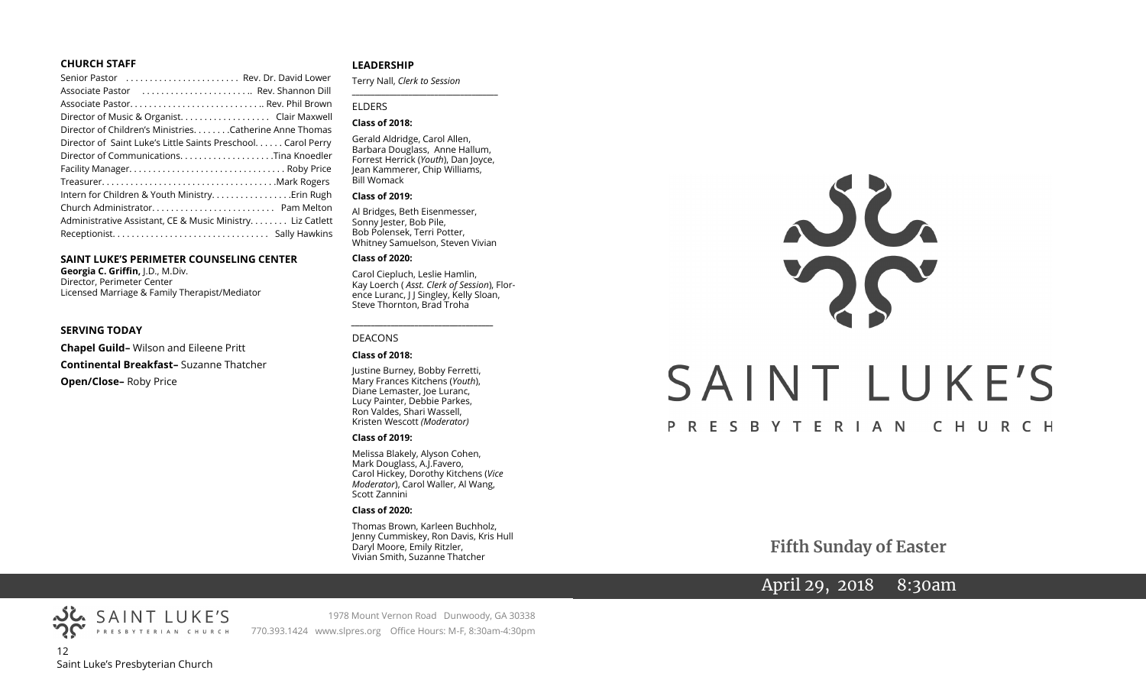# **CHURCH STAFF**

| Senior Pastor  Rev. Dr. David Lower                           |
|---------------------------------------------------------------|
| Associate Pastor  Rev. Shannon Dill                           |
|                                                               |
| Director of Music & Organist. Clair Maxwell                   |
| Director of Children's MinistriesCatherine Anne Thomas        |
| Director of Saint Luke's Little Saints Preschool. Carol Perry |
|                                                               |
|                                                               |
|                                                               |
| Intern for Children & Youth Ministry Erin Rugh                |
|                                                               |
| Administrative Assistant, CE & Music Ministry Liz Catlett     |
|                                                               |

# **SAINT LUKE'S PERIMETER COUNSELING CENTER**

**Georgia C. Griffin,** J.D., M.Div. Director, Perimeter Center Licensed Marriage & Family Therapist/Mediator

# **SERVING TODAY**

**Chapel Guild–** Wilson and Eileene Pritt **Continental Breakfast–** Suzanne Thatcher **Open/Close–** Roby Price

# **LEADERSHIP**

Terry Nall, *Clerk to Session* 

# ELDERS

# **Class of 2018:**

Gerald Aldridge, Carol Allen, Barbara Douglass, Anne Hallum, Forrest Herrick (*Youth*), Dan Joyce, Jean Kammerer, Chip Williams, Bill Womack

**\_\_\_\_\_\_\_\_\_\_\_\_\_\_\_\_\_\_\_\_\_\_\_\_\_\_\_\_\_\_\_\_\_\_\_\_\_\_\_**

## **Class of 2019:**

Al Bridges, Beth Eisenmesser, Sonny Jester, Bob Pile, Bob Polensek, Terri Potter, Whitney Samuelson, Steven Vivian

## **Class of 2020:**

Carol Ciepluch, Leslie Hamlin, Kay Loerch ( *Asst. Clerk of Session*), Florence Luranc, J J Singley, Kelly Sloan, Steve Thornton, Brad Troha

*\_\_\_\_\_\_\_\_\_\_\_\_\_\_\_\_\_\_\_\_\_\_\_\_\_\_\_\_\_\_\_\_\_\_\_\_*

### DEACONS

### **Class of 2018:**

Justine Burney, Bobby Ferretti, Mary Frances Kitchens (*Youth*), Diane Lemaster, Joe Luranc, Lucy Painter, Debbie Parkes, Ron Valdes, Shari Wassell, Kristen Wescott *(Moderator)*

### **Class of 2019:**

Melissa Blakely, Alyson Cohen, Mark Douglass, A.J.Favero, Carol Hickey, Dorothy Kitchens (*Vice Moderator*), Carol Waller, Al Wang, Scott Zannini

### **Class of 2020:**

Thomas Brown, Karleen Buchholz, Jenny Cummiskey, Ron Davis, Kris Hull Daryl Moore, Emily Ritzler, Vivian Smith, Suzanne Thatcher

# $22$ SAINT LUKE'S PRESBYTERIAN CHURCH

**Fifth Sunday of Easter**

# April 29, 2018 8:30am

PRESBYTERIAN CHURCH 12 Saint Luke's Presbyterian Church

SAINT LUKE'S

1978 Mount Vernon Road Dunwoody, GA 30338 770.393.1424 www.slpres.org Office Hours: M-F, 8:30am-4:30pm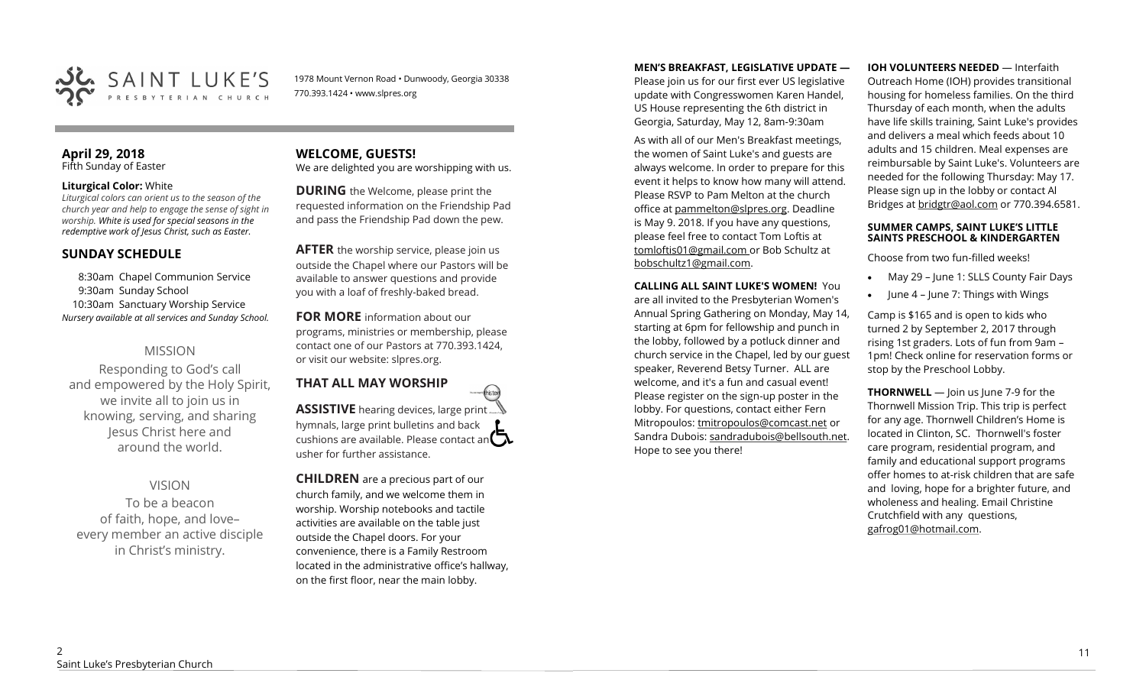

1978 Mount Vernon Road • Dunwoody, Georgia 30338 770.393.1424 • www.slpres.org

# **April 29, 2018**  Fifth Sunday of Easter

# **Liturgical Color:** White

*Liturgical colors can orient us to the season of the church year and help to engage the sense of sight in worship. White is used for special seasons in the redemptive work of Jesus Christ, such as Easter.* 

# **SUNDAY SCHEDULE**

8:30am Chapel Communion Service 9:30am Sunday School 10:30am Sanctuary Worship Service *Nursery available at all services and Sunday School.* 

# MISSION

Responding to God's call and empowered by the Holy Spirit, we invite all to join us in knowing, serving, and sharing Jesus Christ here and around the world.

# VISION

To be a beacon of faith, hope, and love– every member an active disciple in Christ's ministry.

# **WELCOME, GUESTS!**  We are delighted you are worshipping with us.

**DURING** the Welcome, please print the requested information on the Friendship Pad and pass the Friendship Pad down the pew.

**AFTER** the worship service, please join us outside the Chapel where our Pastors will be available to answer questions and provide you with a loaf of freshly-baked bread.

**FOR MORE** information about our programs, ministries or membership, please contact one of our Pastors at 770.393.1424, or visit our website: slpres.org.

# **THAT ALL MAY WORSHIP** thisted **ASSISTIVE** hearing devices, large print... hymnals, large print bulletins and back cushions are available. Please contact an  $\mathbf{\Omega}$

usher for further assistance.

**CHILDREN** are a precious part of our church family, and we welcome them in worship. Worship notebooks and tactile activities are available on the table just outside the Chapel doors. For your convenience, there is a Family Restroom located in the administrative office's hallway, on the first floor, near the main lobby.

# **MEN'S BREAKFAST, LEGISLATIVE UPDATE —**

Please join us for our first ever US legislative update with Congresswomen Karen Handel, US House representing the 6th district in Georgia, Saturday, May 12, 8am-9:30am

As with all of our Men's Breakfast meetings, the women of Saint Luke's and guests are always welcome. In order to prepare for this event it helps to know how many will attend. Please RSVP to Pam Melton at the church office at [pammelton@slpres.org.](mailto:pammelton@slpres.org) Deadline is May 9. 2018. If you have any questions, please feel free to contact Tom Loftis at [tomloftis01@gmail.com or](mailto:tomloftis01@gmail.com) Bob Schultz at [bobschultz1@gmail.com.](mailto:bobschultz1@gmail.com)

# **CALLING ALL SAINT LUKE'S WOMEN!** You are all invited to the Presbyterian Women's Annual Spring Gathering on Monday, May 14, starting at 6pm for fellowship and punch in the lobby, followed by a potluck dinner and church service in the Chapel, led by our guest speaker, Reverend Betsy Turner. ALL are welcome, and it's a fun and casual event! Please register on the sign-up poster in the lobby. For questions, contact either Fern Mitropoulos: [tmitropoulos@comcast.net](mailto:tmitropoulos@comcast.net) or Sandra Dubois: sandradubois@bellsouth.net. Hope to see you there!

**IOH VOLUNTEERS NEEDED** — Interfaith Outreach Home (IOH) provides transitional housing for homeless families. On the third Thursday of each month, when the adults have life skills training, Saint Luke's provides and delivers a meal which feeds about 10 adults and 15 children. Meal expenses are reimbursable by Saint Luke's. Volunteers are needed for the following Thursday: May 17. Please sign up in the lobby or contact Al Bridges at [bridgtr@aol.com](mailto:bridgtr@aol.com) or 770.394.6581.

# **SUMMER CAMPS, SAINT LUKE'S LITTLE SAINTS PRESCHOOL & KINDERGARTEN**

Choose from two fun-filled weeks!

- May 29 June 1: SLLS County Fair Days
- $\bullet$  June 4 June 7: Things with Wings

Camp is \$165 and is open to kids who turned 2 by September 2, 2017 through rising 1st graders. Lots of fun from 9am – 1pm! Check online for reservation forms or stop by the Preschool Lobby.

**THORNWELL** — Join us June 7-9 for the Thornwell Mission Trip. This trip is perfect for any age. Thornwell Children's Home is located in Clinton, SC. Thornwell's foster care program, residential program, and family and educational support programs offer homes to at-risk children that are safe and loving, hope for a brighter future, and wholeness and healing. Email Christine Crutchfield with any questions, gafrog01@hotmail.com.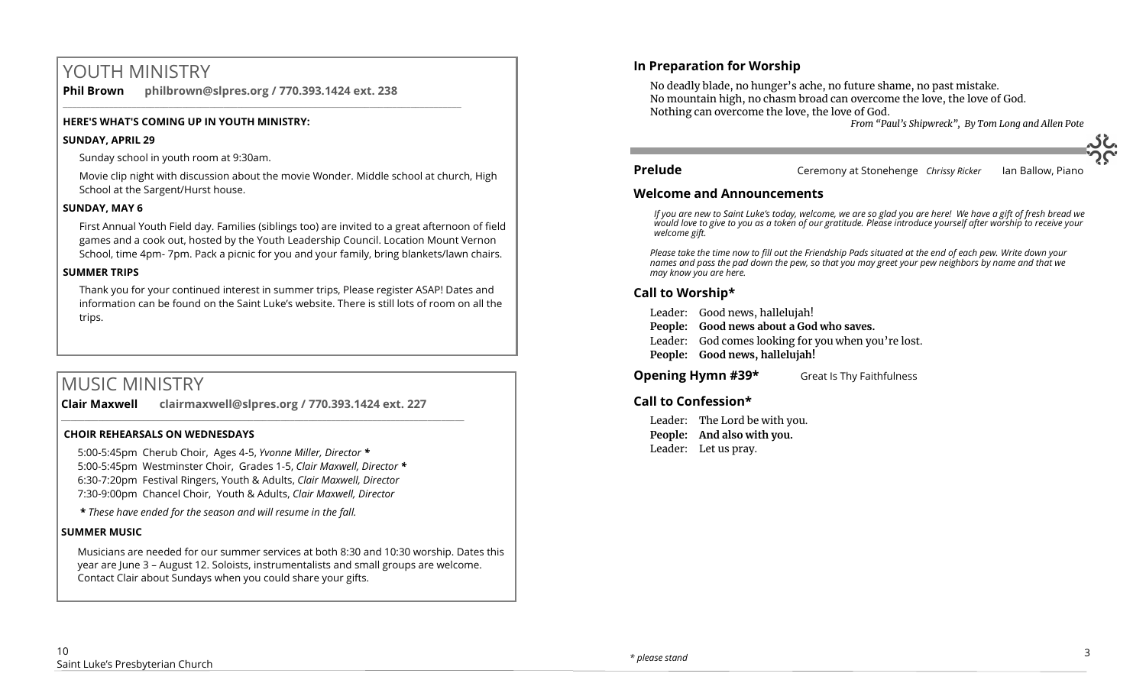# YOUTH MINISTRY

**Phil Brown philbrown@slpres.org / 770.393.1424 ext. 238**  \_\_\_\_\_\_\_\_\_\_\_\_\_\_\_\_\_\_\_\_\_\_\_\_\_\_\_\_\_\_\_\_\_\_\_\_\_\_\_\_\_\_\_\_\_\_\_\_\_\_\_\_\_\_\_\_\_\_\_\_\_\_\_\_\_\_\_\_\_\_\_\_\_\_\_\_\_\_\_\_\_\_\_\_\_\_\_

# **HERE'S WHAT'S COMING UP IN YOUTH MINISTRY:**

# **SUNDAY, APRIL 29**

Sunday school in youth room at 9:30am.

Movie clip night with discussion about the movie Wonder. Middle school at church, High School at the Sargent/Hurst house.

# **SUNDAY, MAY 6**

First Annual Youth Field day. Families (siblings too) are invited to a great afternoon of field games and a cook out, hosted by the Youth Leadership Council. Location Mount Vernon School, time 4pm- 7pm. Pack a picnic for you and your family, bring blankets/lawn chairs.

# **SUMMER TRIPS**

Thank you for your continued interest in summer trips, Please register ASAP! Dates and information can be found on the Saint Luke's website. There is still lots of room on all the trips.

# MUSIC MINISTRY

**Clair Maxwell clairmaxwell@slpres.org / 770.393.1424 ext. 227**   $\_$  ,  $\_$  ,  $\_$  ,  $\_$  ,  $\_$  ,  $\_$  ,  $\_$  ,  $\_$  ,  $\_$  ,  $\_$  ,  $\_$  ,  $\_$  ,  $\_$  ,  $\_$  ,  $\_$  ,  $\_$  ,  $\_$  ,  $\_$  ,  $\_$ 

# **CHOIR REHEARSALS ON WEDNESDAYS**

5:00-5:45pm Cherub Choir, Ages 4-5, *Yvonne Miller, Director \** 5:00-5:45pm Westminster Choir, Grades 1-5, *Clair Maxwell, Director \**  6:30-7:20pm Festival Ringers, Youth & Adults, *Clair Maxwell, Director*  7:30-9:00pm Chancel Choir, Youth & Adults, *Clair Maxwell, Director* 

**\*** *These have ended for the season and will resume in the fall.*

# **SUMMER MUSIC**

Musicians are needed for our summer services at both 8:30 and 10:30 worship. Dates this year are June 3 – August 12. Soloists, instrumentalists and small groups are welcome. Contact Clair about Sundays when you could share your gifts.

# **In Preparation for Worship**

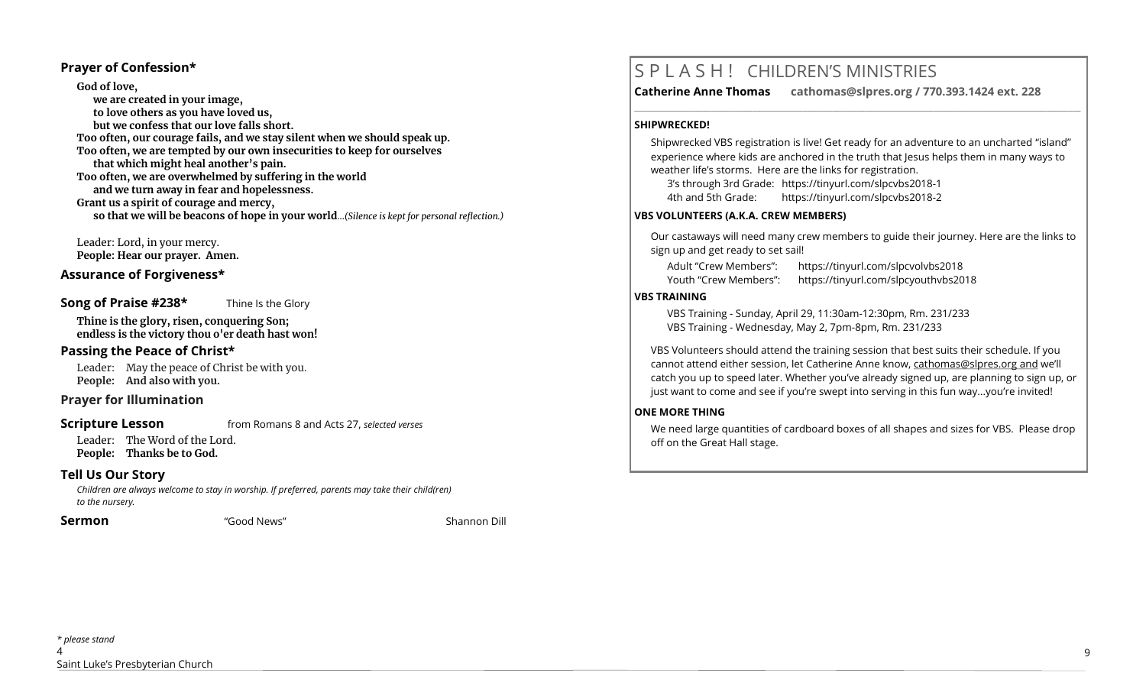# **Prayer of Confession\***

**God of love, we are created in your image, to love others as you have loved us, but we confess that our love falls short. Too often, our courage fails, and we stay silent when we should speak up. Too often, we are tempted by our own insecurities to keep for ourselves that which might heal another's pain. Too often, we are overwhelmed by suffering in the world and we turn away in fear and hopelessness. Grant us a spirit of courage and mercy, so that we will be beacons of hope in your world**...*(Silence is kept for personal reflection.)*

Leader: Lord, in your mercy. **People: Hear our prayer. Amen.**

# **Assurance of Forgiveness\***

**Song of Praise #238\*** Thine Is the Glory

**Thine is the glory, risen, conquering Son; endless is the victory thou o'er death hast won!**

# **Passing the Peace of Christ\***

Leader: May the peace of Christ be with you. **People: And also with you.** 

# **Prayer for Illumination**

# **Scripture Lesson** from Romans 8 and Acts 27, *selected verses*

Leader: The Word of the Lord.

**People: Thanks be to God.**

# **Tell Us Our Story**

*Children are always welcome to stay in worship. If preferred, parents may take their child(ren) to the nursery.*

**Sermon** "Good News" **Shannon Dill Shannon Dill** 

# S P L A S H ! CHILDREN'S MINISTRIES

**Catherine Anne Thomas cathomas@slpres.org / 770.393.1424 ext. 228** 

# **SHIPWRECKED!**

Shipwrecked VBS registration is live! Get ready for an adventure to an uncharted "island" experience where kids are anchored in the truth that Jesus helps them in many ways to weather life's storms. Here are the links for registration.

**\_\_\_\_\_\_\_\_\_\_\_\_\_\_\_\_\_\_\_\_\_\_\_\_\_\_\_\_\_\_\_\_\_\_\_\_\_\_\_\_\_\_\_\_\_\_\_\_\_\_\_\_\_\_\_\_\_\_\_\_\_\_\_\_\_\_\_\_\_\_\_\_\_\_\_\_\_\_\_\_\_\_\_\_\_\_\_\_\_\_\_\_\_\_\_\_\_\_\_\_\_\_\_\_\_\_** 

3's through 3rd Grade: https://tinyurl.com/slpcvbs2018-1 4th and 5th Grade: https://tinyurl.com/slpcvbs2018-2

# **VBS VOLUNTEERS (A.K.A. CREW MEMBERS)**

Our castaways will need many crew members to guide their journey. Here are the links to sign up and get ready to set sail!

Adult "Crew Members": https://tinyurl.com/slpcvolvbs2018 Youth "Crew Members": https://tinyurl.com/slpcyouthvbs2018

# **VBS TRAINING**

VBS Training - Sunday, April 29, 11:30am-12:30pm, Rm. 231/233 VBS Training - Wednesday, May 2, 7pm-8pm, Rm. 231/233

VBS Volunteers should attend the training session that best suits their schedule. If you cannot attend either session, let Catherine Anne know, [cathomas@slpres.org](mailto:cathomas@slpres.organd) and we'll catch you up to speed later. Whether you've already signed up, are planning to sign up, or just want to come and see if you're swept into serving in this fun way...you're invited!

# **ONE MORE THING**

We need large quantities of cardboard boxes of all shapes and sizes for VBS. Please drop off on the Great Hall stage.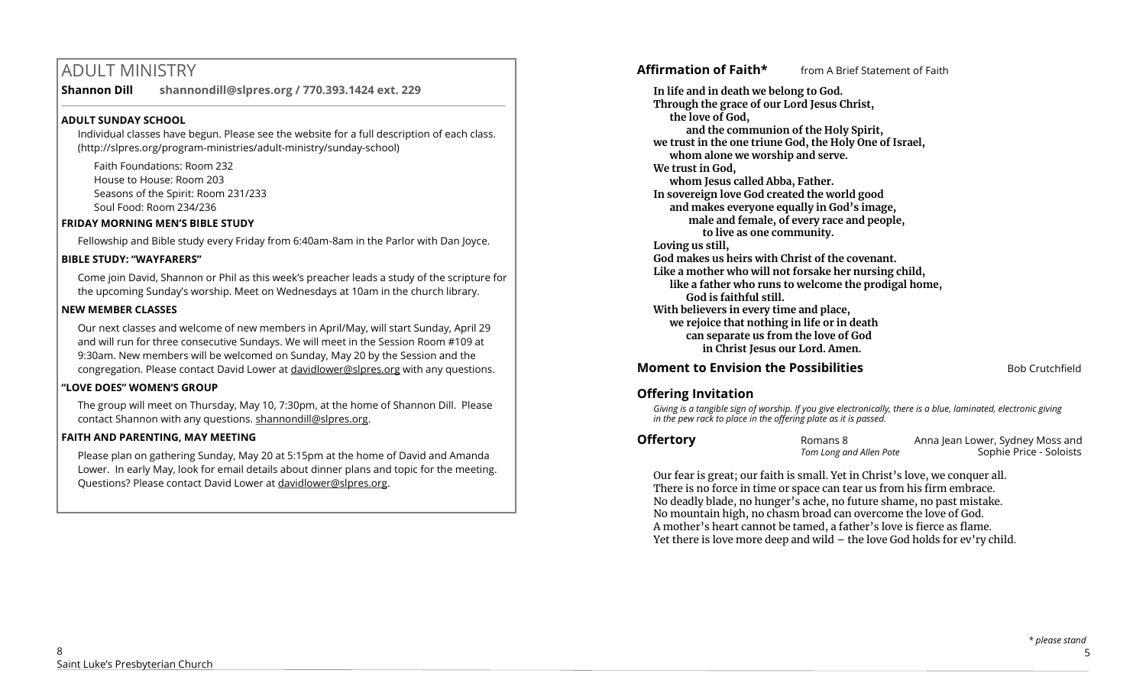# ADULT MINISTRY

**Shannon Dill shannondill@slpres.org / 770.393.1424 ext. 229** 

# **ADULT SUNDAY SCHOOL**

Individual classes have begun. Please see the website for a full description of each class. (http://slpres.org/program-ministries/adult-ministry/sunday-school)

 $\_$  ,  $\_$  ,  $\_$  ,  $\_$  ,  $\_$  ,  $\_$  ,  $\_$  ,  $\_$  ,  $\_$  ,  $\_$  ,  $\_$  ,  $\_$  ,  $\_$  ,  $\_$  ,  $\_$  ,  $\_$  ,  $\_$  ,  $\_$  ,  $\_$ 

Faith Foundations: Room 232 House to House: Room 203 Seasons of the Spirit: Room 231/233 Soul Food: Room 234/236

# **FRIDAY MORNING MEN'S BIBLE STUDY**

Fellowship and Bible study every Friday from 6:40am-8am in the Parlor with Dan Joyce.

# **BIBLE STUDY: "WAYFARERS"**

Come join David, Shannon or Phil as this week's preacher leads a study of the scripture for the upcoming Sunday's worship. Meet on Wednesdays at 10am in the church library.

# **NEW MEMBER CLASSES**

Our next classes and welcome of new members in April/May, will start Sunday, April 29 and will run for three consecutive Sundays. We will meet in the Session Room #109 at 9:30am. New members will be welcomed on Sunday, May 20 by the Session and the congregation. Please contact David Lower at davidlower@slpres.org with any questions.

# **"LOVE DOES" WOMEN'S GROUP**

The group will meet on Thursday, May 10, 7:30pm, at the home of Shannon Dill. Please contact Shannon with any questions. shannondill@slpres.org.

# **FAITH AND PARENTING, MAY MEETING**

Please plan on gathering Sunday, May 20 at 5:15pm at the home of David and Amanda Lower. In early May, look for email details about dinner plans and topic for the meeting. Questions? Please contact David Lower at davidlower@slpres.org.

```
Affirmation of Faith* from A Brief Statement of Faith
```
**In life and in death we belong to God. Through the grace of our Lord Jesus Christ, the love of God, and the communion of the Holy Spirit, we trust in the one triune God, the Holy One of Israel, whom alone we worship and serve. We trust in God, whom Jesus called Abba, Father. In sovereign love God created the world good and makes everyone equally in God's image, male and female, of every race and people, to live as one community. Loving us still, God makes us heirs with Christ of the covenant. Like a mother who will not forsake her nursing child, like a father who runs to welcome the prodigal home, God is faithful still. With believers in every time and place, we rejoice that nothing in life or in death can separate us from the love of God in Christ Jesus our Lord. Amen.**

# **Moment to Envision the Possibilities Bob Crutchfield Bob Crutchfield**

# **Offering Invitation**

*Giving is a tangible sign of worship. If you give electronically, there is a blue, laminated, electronic giving in the pew rack to place in the offering plate as it is passed.*

**Offertory** Romans 8 Anna Jean Lower, Sydney Moss and *Tom Long and Allen Pote* Sophie Price - Soloists

Our fear is great; our faith is small. Yet in Christ's love, we conquer all. There is no force in time or space can tear us from his firm embrace. No deadly blade, no hunger's ache, no future shame, no past mistake. No mountain high, no chasm broad can overcome the love of God. A mother's heart cannot be tamed, a father's love is fierce as flame. Yet there is love more deep and wild – the love God holds for ev'ry child.